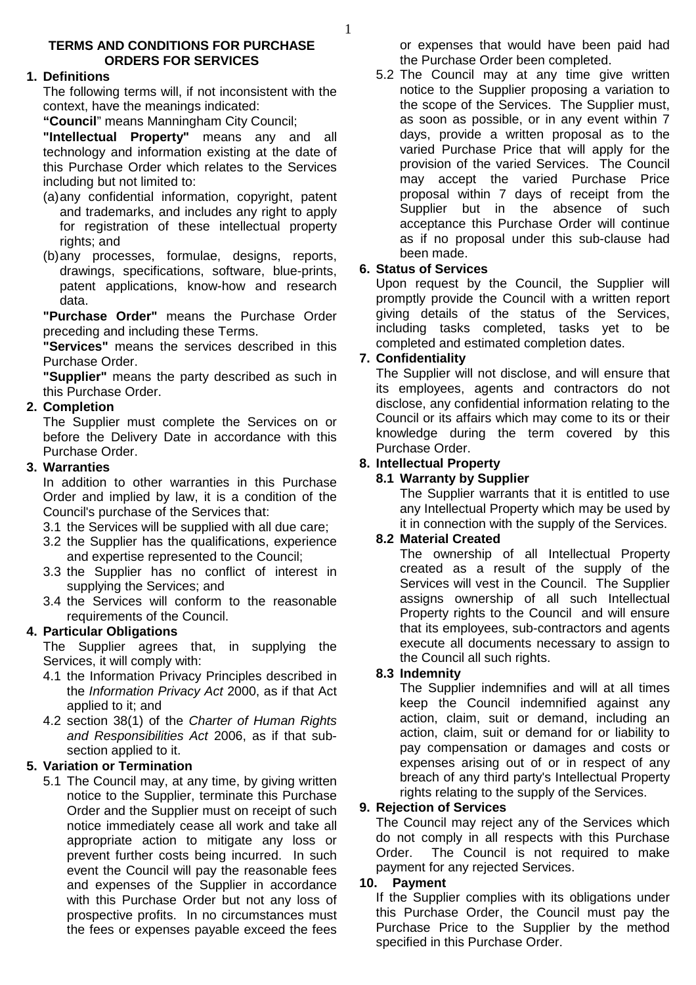#### **TERMS AND CONDITIONS FOR PURCHASE ORDERS FOR SERVICES**

#### **1. Definitions**

The following terms will, if not inconsistent with the context, have the meanings indicated:

**"Council**" means Manningham City Council;

**"Intellectual Property"** means any and all technology and information existing at the date of this Purchase Order which relates to the Services including but not limited to:

- (a) any confidential information, copyright, patent and trademarks, and includes any right to apply for registration of these intellectual property rights; and
- (b) any processes, formulae, designs, reports, drawings, specifications, software, blue-prints, patent applications, know-how and research data.

**"Purchase Order"** means the Purchase Order preceding and including these Terms.

**"Services"** means the services described in this Purchase Order.

**"Supplier"** means the party described as such in this Purchase Order.

# **2. Completion**

The Supplier must complete the Services on or before the Delivery Date in accordance with this Purchase Order.

## **3. Warranties**

In addition to other warranties in this Purchase Order and implied by law, it is a condition of the Council's purchase of the Services that:

- 3.1 the Services will be supplied with all due care;
- 3.2 the Supplier has the qualifications, experience and expertise represented to the Council;
- 3.3 the Supplier has no conflict of interest in supplying the Services; and
- 3.4 the Services will conform to the reasonable requirements of the Council.

# **4. Particular Obligations**

The Supplier agrees that, in supplying the Services, it will comply with:

- 4.1 the Information Privacy Principles described in the Information Privacy Act 2000, as if that Act applied to it; and
- 4.2 section 38(1) of the Charter of Human Rights and Responsibilities Act 2006, as if that subsection applied to it.

# **5. Variation or Termination**

5.1 The Council may, at any time, by giving written notice to the Supplier, terminate this Purchase Order and the Supplier must on receipt of such notice immediately cease all work and take all appropriate action to mitigate any loss or prevent further costs being incurred. In such event the Council will pay the reasonable fees and expenses of the Supplier in accordance with this Purchase Order but not any loss of prospective profits. In no circumstances must the fees or expenses payable exceed the fees

or expenses that would have been paid had the Purchase Order been completed.

5.2 The Council may at any time give written notice to the Supplier proposing a variation to the scope of the Services. The Supplier must, as soon as possible, or in any event within 7 days, provide a written proposal as to the varied Purchase Price that will apply for the provision of the varied Services. The Council may accept the varied Purchase Price proposal within 7 days of receipt from the Supplier but in the absence of such acceptance this Purchase Order will continue as if no proposal under this sub-clause had been made.

## **6. Status of Services**

Upon request by the Council, the Supplier will promptly provide the Council with a written report giving details of the status of the Services, including tasks completed, tasks yet to be completed and estimated completion dates.

## **7. Confidentiality**

The Supplier will not disclose, and will ensure that its employees, agents and contractors do not disclose, any confidential information relating to the Council or its affairs which may come to its or their knowledge during the term covered by this Purchase Order.

## **8. Intellectual Property**

## **8.1 Warranty by Supplier**

The Supplier warrants that it is entitled to use any Intellectual Property which may be used by it in connection with the supply of the Services.

#### **8.2 Material Created**

The ownership of all Intellectual Property created as a result of the supply of the Services will vest in the Council. The Supplier assigns ownership of all such Intellectual Property rights to the Council and will ensure that its employees, sub-contractors and agents execute all documents necessary to assign to the Council all such rights.

# **8.3 Indemnity**

The Supplier indemnifies and will at all times keep the Council indemnified against any action, claim, suit or demand, including an action, claim, suit or demand for or liability to pay compensation or damages and costs or expenses arising out of or in respect of any breach of any third party's Intellectual Property rights relating to the supply of the Services.

# **9. Rejection of Services**

The Council may reject any of the Services which do not comply in all respects with this Purchase Order. The Council is not required to make payment for any rejected Services.

#### **10. Payment**

If the Supplier complies with its obligations under this Purchase Order, the Council must pay the Purchase Price to the Supplier by the method specified in this Purchase Order.